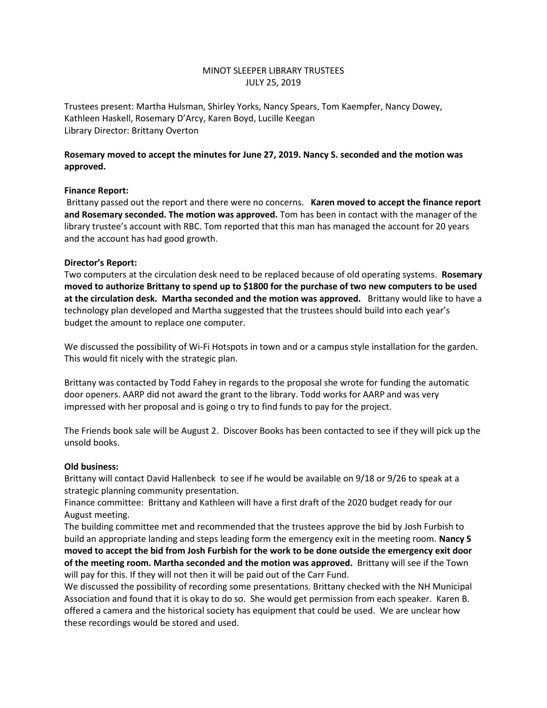# MINOT SLEEPER LIBRARY TRUSTEES JULY 25, 2019

Trustees present: Martha Hulsman, Shirley Yorks, Nancy Spears, Tom Kaempfer, Nancy Dowey, Kathleen Haskell, Rosemary D'Arcy, Karen Boyd, Lucille Keegan Library Director: Brittany Overton

# **Rosemary moved to accept the minutes for June 27, 2019. Nancy S. seconded and the motion was approved.**

## **Finance Report:**

Brittany passed out the report and there were no concerns. **Karen moved to accept the finance report and Rosemary seconded. The motion was approved.** Tom has been in contact with the manager of the library trustee's account with RBC. Tom reported that this man has managed the account for 20 years and the account has had good growth.

### **Director's Report:**

Two computers at the circulation desk need to be replaced because of old operating systems. **Rosemary moved to authorize Brittany to spend up to \$1800 for the purchase of two new computers to be used at the circulation desk. Martha seconded and the motion was approved.** Brittany would like to have a technology plan developed and Martha suggested that the trustees should build into each year's budget the amount to replace one computer.

We discussed the possibility of Wi-Fi Hotspots in town and or a campus style installation for the garden. This would fit nicely with the strategic plan.

Brittany was contacted by Todd Fahey in regards to the proposal she wrote for funding the automatic door openers. AARP did not award the grant to the library. Todd works for AARP and was very impressed with her proposal and is going o try to find funds to pay for the project.

The Friends book sale will be August 2. Discover Books has been contacted to see if they will pick up the unsold books.

#### **Old business:**

Brittany will contact David Hallenbeck to see if he would be available on 9/18 or 9/26 to speak at a strategic planning community presentation.

Finance committee: Brittany and Kathleen will have a first draft of the 2020 budget ready for our August meeting.

The building committee met and recommended that the trustees approve the bid by Josh Furbish to build an appropriate landing and steps leading form the emergency exit in the meeting room. **Nancy S moved to accept the bid from Josh Furbish for the work to be done outside the emergency exit door of the meeting room. Martha seconded and the motion was approved.** Brittany will see if the Town will pay for this. If they will not then it will be paid out of the Carr Fund.

We discussed the possibility of recording some presentations. Brittany checked with the NH Municipal Association and found that it is okay to do so. She would get permission from each speaker. Karen B. offered a camera and the historical society has equipment that could be used. We are unclear how these recordings would be stored and used.